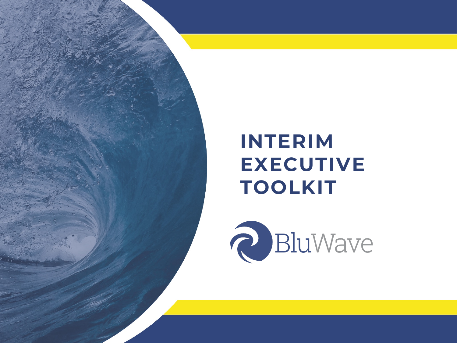## **INTERIM EXECUTIVE TOOLKIT**

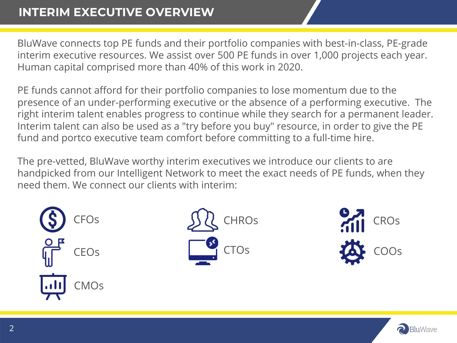BluWave connects top PE funds and their portfolio companies with best-in-class, PE-grade interim executive resources. We assist over 500 PE funds in over 1,000 projects each year. Human capital comprised more than 40% of this work in 2020.

PE funds cannot afford for their portfolio companies to lose momentum due to the presence of an under-performing executive or the absence of a performing executive. The right interim talent enables progress to continue while they search for a permanent leader. Interim talent can also be used as a "try before you buy" resource, in order to give the PE fund and portco executive team comfort before committing to a full-time hire.

The pre-vetted, BluWave worthy interim executives we introduce our clients to are handpicked from our Intelligent Network to meet the exact needs of PE funds, when they need them. We connect our clients with interim:



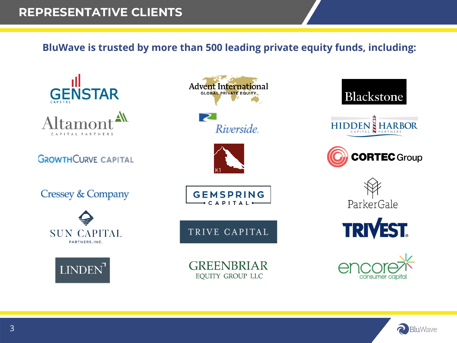## **REPRESENTATIVE CLIENTS**

**BluWave is trusted by more than 500 leading private equity funds, including:**



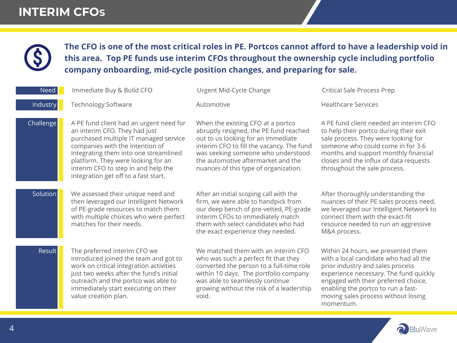## **INTERIM CFOS**



**The CFO is one of the most critical roles in PE. Portcos cannot afford to have a leadership void in this area. Top PE funds use interim CFOs throughout the ownership cycle including portfolio company onboarding, mid-cycle position changes, and preparing for sale.** 

| Need      | Immediate Buy & Build CFO                                                                                                                                                                                                                                                                                          | Urgent Mid-Cycle Change                                                                                                                                                                                                                                                             | <b>Critical Sale Process Prep</b>                                                                                                                                                                                                                                                            |
|-----------|--------------------------------------------------------------------------------------------------------------------------------------------------------------------------------------------------------------------------------------------------------------------------------------------------------------------|-------------------------------------------------------------------------------------------------------------------------------------------------------------------------------------------------------------------------------------------------------------------------------------|----------------------------------------------------------------------------------------------------------------------------------------------------------------------------------------------------------------------------------------------------------------------------------------------|
| Industry  | <b>Technology Software</b>                                                                                                                                                                                                                                                                                         | Automotive                                                                                                                                                                                                                                                                          | <b>Healthcare Services</b>                                                                                                                                                                                                                                                                   |
| Challenge | A PE fund client had an urgent need for<br>an interim CFO. They had just<br>purchased multiple IT managed service<br>companies with the intention of<br>integrating them into one streamlined<br>platform. They were looking for an<br>interim CFO to step in and help the<br>integration get off to a fast start. | When the existing CFO at a portco<br>abruptly resigned, the PE fund reached<br>out to us looking for an immediate<br>interim CFO to fill the vacancy. The fund<br>was seeking someone who understood<br>the automotive aftermarket and the<br>nuances of this type of organization. | A PE fund client needed an interim CFO<br>to help their portco during their exit<br>sale process. They were looking for<br>someone who could come in for 3-6<br>months and support monthly financial<br>closes and the influx of data requests<br>throughout the sale process.               |
| Solution  | We assessed their unique need and<br>then leveraged our Intelligent Network<br>of PE-grade resources to match them<br>with multiple choices who were perfect<br>matches for their needs.                                                                                                                           | After an initial scoping call with the<br>firm, we were able to handpick from<br>our deep bench of pre-vetted, PE-grade<br>interim CFOs to immediately match<br>them with select candidates who had<br>the exact experience they needed.                                            | After thoroughly understanding the<br>nuances of their PE sales process need,<br>we leveraged our Intelligent Network to<br>connect them with the exact-fit<br>resource needed to run an aggressive<br>M&A process.                                                                          |
| Result    | The preferred interim CFO we<br>introduced joined the team and got to<br>work on critical integration activities<br>just two weeks after the fund's initial<br>outreach and the portco was able to<br>immediately start executing on their<br>value creation plan.                                                 | We matched them with an interim CFO<br>who was such a perfect fit that they<br>converted the person to a full-time role<br>within 10 days. The portfolio company<br>was able to seamlessly continue<br>growing without the risk of a leadership<br>void.                            | Within 24 hours, we presented them<br>with a local candidate who had all the<br>prior industry and sales process<br>experience necessary. The fund quickly<br>engaged with their preferred choice,<br>enabling the portco to run a fast-<br>moving sales process without losing<br>momentum. |

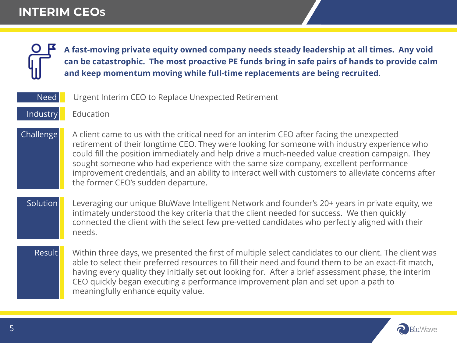**A fast-moving private equity owned company needs steady leadership at all times. Any void can be catastrophic. The most proactive PE funds bring in safe pairs of hands to provide calm and keep momentum moving while full-time replacements are being recruited.**  Need Urgent Interim CEO to Replace Unexpected Retirement Industry Education Challenge  $\blacksquare$  A client came to us with the critical need for an interim CEO after facing the unexpected retirement of their longtime CEO. They were looking for someone with industry experience who could fill the position immediately and help drive a much-needed value creation campaign. They sought someone who had experience with the same size company, excellent performance improvement credentials, and an ability to interact well with customers to alleviate concerns after the former CEO's sudden departure. Solution Leveraging our unique BluWave Intelligent Network and founder's 20+ years in private equity, we intimately understood the key criteria that the client needed for success. We then quickly connected the client with the select few pre-vetted candidates who perfectly aligned with their needs. Result Within three days, we presented the first of multiple select candidates to our client. The client was able to select their preferred resources to fill their need and found them to be an exact-fit match, having every quality they initially set out looking for. After a brief assessment phase, the interim CEO quickly began executing a performance improvement plan and set upon a path to meaningfully enhance equity value.

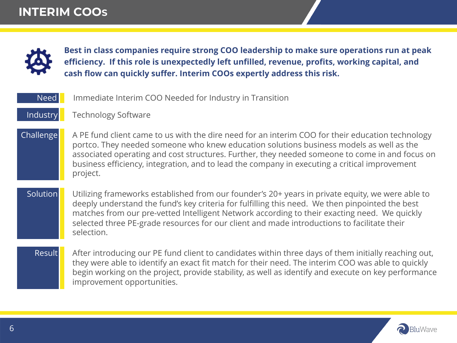

**Best in class companies require strong COO leadership to make sure operations run at peak efficiency. If this role is unexpectedly left unfilled, revenue, profits, working capital, and cash flow can quickly suffer. Interim COOs expertly address this risk.**

- Need Immediate Interim COO Needed for Industry in Transition
- 

Industry **Technology Software** 

- Challenge A PE fund client came to us with the dire need for an interim COO for their education technology portco. They needed someone who knew education solutions business models as well as the associated operating and cost structures. Further, they needed someone to come in and focus on business efficiency, integration, and to lead the company in executing a critical improvement project.
- Solution Utilizing frameworks established from our founder's 20+ years in private equity, we were able to deeply understand the fund's key criteria for fulfilling this need. We then pinpointed the best matches from our pre-vetted Intelligent Network according to their exacting need. We quickly selected three PE-grade resources for our client and made introductions to facilitate their selection.
- Result After introducing our PE fund client to candidates within three days of them initially reaching out, they were able to identify an exact fit match for their need. The interim COO was able to quickly begin working on the project, provide stability, as well as identify and execute on key performance improvement opportunities.

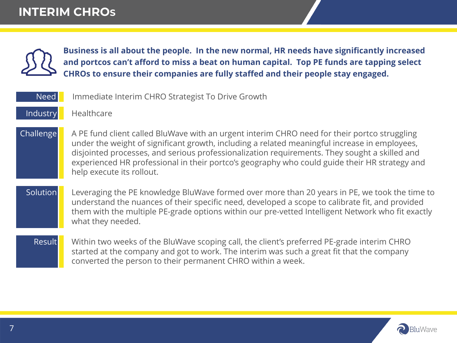

**Business is all about the people. In the new normal, HR needs have significantly increased and portcos can't afford to miss a beat on human capital. Top PE funds are tapping select CHROs to ensure their companies are fully staffed and their people stay engaged.**

| Need      | Immediate Interim CHRO Strategist To Drive Growth                                                                                                                                                                                                                                                                                                                                                                            |  |
|-----------|------------------------------------------------------------------------------------------------------------------------------------------------------------------------------------------------------------------------------------------------------------------------------------------------------------------------------------------------------------------------------------------------------------------------------|--|
| Industry  | Healthcare                                                                                                                                                                                                                                                                                                                                                                                                                   |  |
| Challenge | A PE fund client called BluWave with an urgent interim CHRO need for their portco struggling<br>under the weight of significant growth, including a related meaningful increase in employees,<br>disjointed processes, and serious professionalization requirements. They sought a skilled and<br>experienced HR professional in their portco's geography who could guide their HR strategy and<br>help execute its rollout. |  |
| Solution  | Leveraging the PE knowledge BluWave formed over more than 20 years in PE, we took the time to<br>understand the nuances of their specific need, developed a scope to calibrate fit, and provided<br>them with the multiple PE-grade options within our pre-vetted Intelligent Network who fit exactly<br>what they needed.                                                                                                   |  |
| Result    | Within two weeks of the BluWave scoping call, the client's preferred PE-grade interim CHRO<br>started at the company and got to work. The interim was such a great fit that the company<br>converted the person to their permanent CHRO within a week.                                                                                                                                                                       |  |

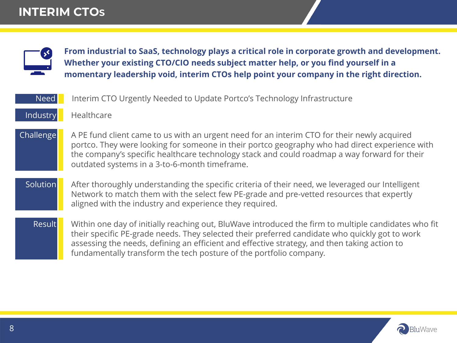

**From industrial to SaaS, technology plays a critical role in corporate growth and development. Whether your existing CTO/CIO needs subject matter help, or you find yourself in a momentary leadership void, interim CTOs help point your company in the right direction.**

| <b>Need</b>   | Interim CTO Urgently Needed to Update Portco's Technology Infrastructure                                                                                                                                                                                                                                                                                                     |  |
|---------------|------------------------------------------------------------------------------------------------------------------------------------------------------------------------------------------------------------------------------------------------------------------------------------------------------------------------------------------------------------------------------|--|
| Industry      | Healthcare                                                                                                                                                                                                                                                                                                                                                                   |  |
| Challenge     | A PE fund client came to us with an urgent need for an interim CTO for their newly acquired<br>portco. They were looking for someone in their portco geography who had direct experience with<br>the company's specific healthcare technology stack and could roadmap a way forward for their<br>outdated systems in a 3-to-6-month timeframe.                               |  |
| Solution      | After thoroughly understanding the specific criteria of their need, we leveraged our Intelligent<br>Network to match them with the select few PE-grade and pre-vetted resources that expertly<br>aligned with the industry and experience they required.                                                                                                                     |  |
| <b>Result</b> | Within one day of initially reaching out, BluWave introduced the firm to multiple candidates who fit<br>their specific PE-grade needs. They selected their preferred candidate who quickly got to work<br>assessing the needs, defining an efficient and effective strategy, and then taking action to<br>fundamentally transform the tech posture of the portfolio company. |  |

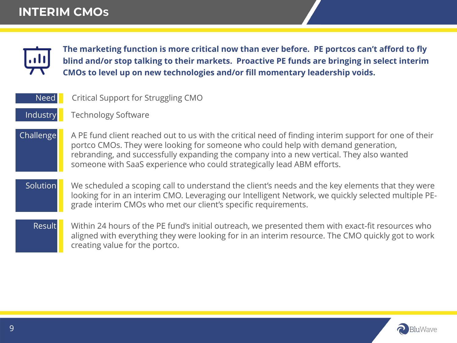

**The marketing function is more critical now than ever before. PE portcos can't afford to fly blind and/or stop talking to their markets. Proactive PE funds are bringing in select interim CMOs to level up on new technologies and/or fill momentary leadership voids.**

| <b>Need</b>      | <b>Critical Support for Struggling CMO</b>                                                                                                                                                                                                                                                                                                                       |
|------------------|------------------------------------------------------------------------------------------------------------------------------------------------------------------------------------------------------------------------------------------------------------------------------------------------------------------------------------------------------------------|
| Industry         | <b>Technology Software</b>                                                                                                                                                                                                                                                                                                                                       |
| <b>Challenge</b> | A PE fund client reached out to us with the critical need of finding interim support for one of their<br>portco CMOs. They were looking for someone who could help with demand generation,<br>rebranding, and successfully expanding the company into a new vertical. They also wanted<br>someone with SaaS experience who could strategically lead ABM efforts. |
| Solution         | We scheduled a scoping call to understand the client's needs and the key elements that they were<br>looking for in an interim CMO. Leveraging our Intelligent Network, we quickly selected multiple PE-<br>grade interim CMOs who met our client's specific requirements.                                                                                        |
| Result           | Within 24 hours of the PE fund's initial outreach, we presented them with exact-fit resources who<br>aligned with everything they were looking for in an interim resource. The CMO quickly got to work<br>creating value for the portco.                                                                                                                         |

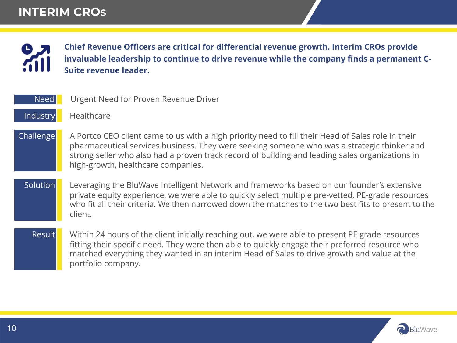**PART Chief Revenue Officers are critical for differential revenue growth. Interim CROs provide invaluable leadership to continue to drive revenue while the company finds a permanent C-Suite revenue leader.**

| Need          | Urgent Need for Proven Revenue Driver                                                                                                                                                                                                                                                                                                      |
|---------------|--------------------------------------------------------------------------------------------------------------------------------------------------------------------------------------------------------------------------------------------------------------------------------------------------------------------------------------------|
| Industry      | Healthcare                                                                                                                                                                                                                                                                                                                                 |
| Challenge     | A Portco CEO client came to us with a high priority need to fill their Head of Sales role in their<br>pharmaceutical services business. They were seeking someone who was a strategic thinker and<br>strong seller who also had a proven track record of building and leading sales organizations in<br>high-growth, healthcare companies. |
| Solution      | Leveraging the BluWave Intelligent Network and frameworks based on our founder's extensive<br>private equity experience, we were able to quickly select multiple pre-vetted, PE-grade resources<br>who fit all their criteria. We then narrowed down the matches to the two best fits to present to the<br>client.                         |
| <b>Result</b> | Within 24 hours of the client initially reaching out, we were able to present PE grade resources<br>fitting their specific need. They were then able to quickly engage their preferred resource who<br>matched everything they wanted in an interim Head of Sales to drive growth and value at the<br>portfolio company.                   |